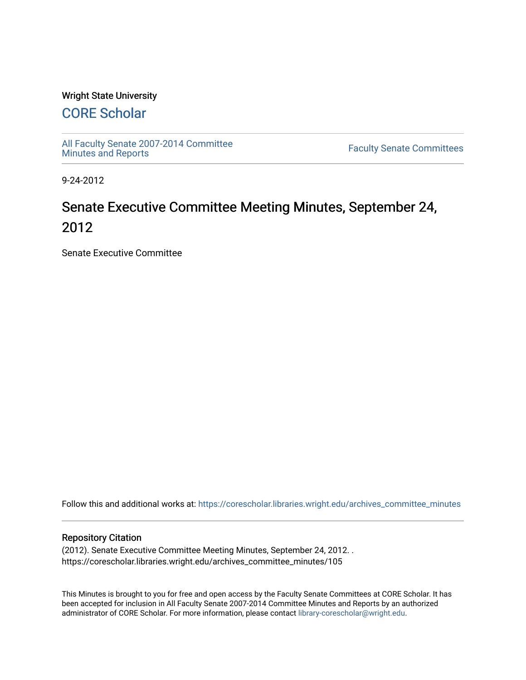## Wright State University

# [CORE Scholar](https://corescholar.libraries.wright.edu/)

[All Faculty Senate 2007-2014 Committee](https://corescholar.libraries.wright.edu/archives_committee_minutes)

**Faculty Senate Committees** 

9-24-2012

# Senate Executive Committee Meeting Minutes, September 24, 2012

Senate Executive Committee

Follow this and additional works at: [https://corescholar.libraries.wright.edu/archives\\_committee\\_minutes](https://corescholar.libraries.wright.edu/archives_committee_minutes?utm_source=corescholar.libraries.wright.edu%2Farchives_committee_minutes%2F105&utm_medium=PDF&utm_campaign=PDFCoverPages) 

#### Repository Citation

(2012). Senate Executive Committee Meeting Minutes, September 24, 2012. . https://corescholar.libraries.wright.edu/archives\_committee\_minutes/105

This Minutes is brought to you for free and open access by the Faculty Senate Committees at CORE Scholar. It has been accepted for inclusion in All Faculty Senate 2007-2014 Committee Minutes and Reports by an authorized administrator of CORE Scholar. For more information, please contact [library-corescholar@wright.edu.](mailto:library-corescholar@wright.edu)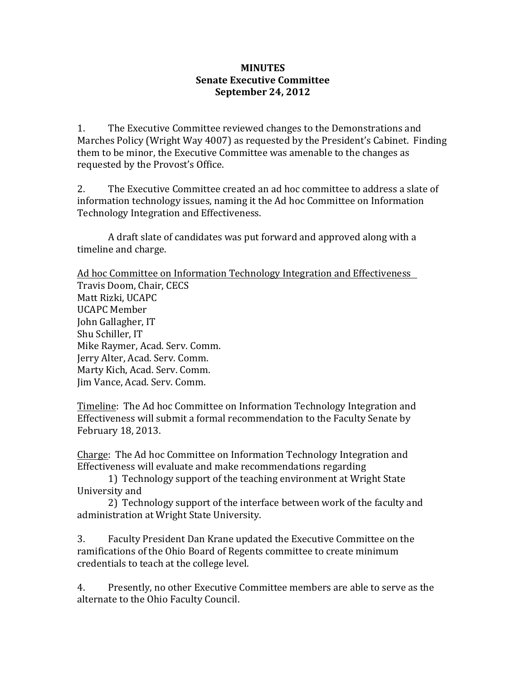## **MINUTES Senate Executive Committee September 24, 2012**

1. The Executive Committee reviewed changes to the Demonstrations and Marches Policy (Wright Way 4007) as requested by the President's Cabinet. Finding them to be minor, the Executive Committee was amenable to the changes as requested by the Provost's Office.

2. The Executive Committee created an ad hoc committee to address a slate of information technology issues, naming it the Ad hoc Committee on Information Technology Integration and Effectiveness.

A draft slate of candidates was put forward and approved along with a timeline and charge.

Ad hoc Committee on Information Technology Integration and Effectiveness Travis Doom, Chair, CECS Matt Rizki, UCAPC UCAPC Member John Gallagher, IT Shu Schiller, IT Mike Raymer, Acad. Serv. Comm. Jerry Alter, Acad. Serv. Comm. Marty Kich, Acad. Serv. Comm. Jim Vance, Acad. Serv. Comm.

Timeline: The Ad hoc Committee on Information Technology Integration and Effectiveness will submit a formal recommendation to the Faculty Senate by February 18, 2013.

Charge: The Ad hoc Committee on Information Technology Integration and Effectiveness will evaluate and make recommendations regarding

1) Technology support of the teaching environment at Wright State University and

2) Technology support of the interface between work of the faculty and administration at Wright State University.

3. Faculty President Dan Krane updated the Executive Committee on the ramifications of the Ohio Board of Regents committee to create minimum credentials to teach at the college level.

4. Presently, no other Executive Committee members are able to serve as the alternate to the Ohio Faculty Council.